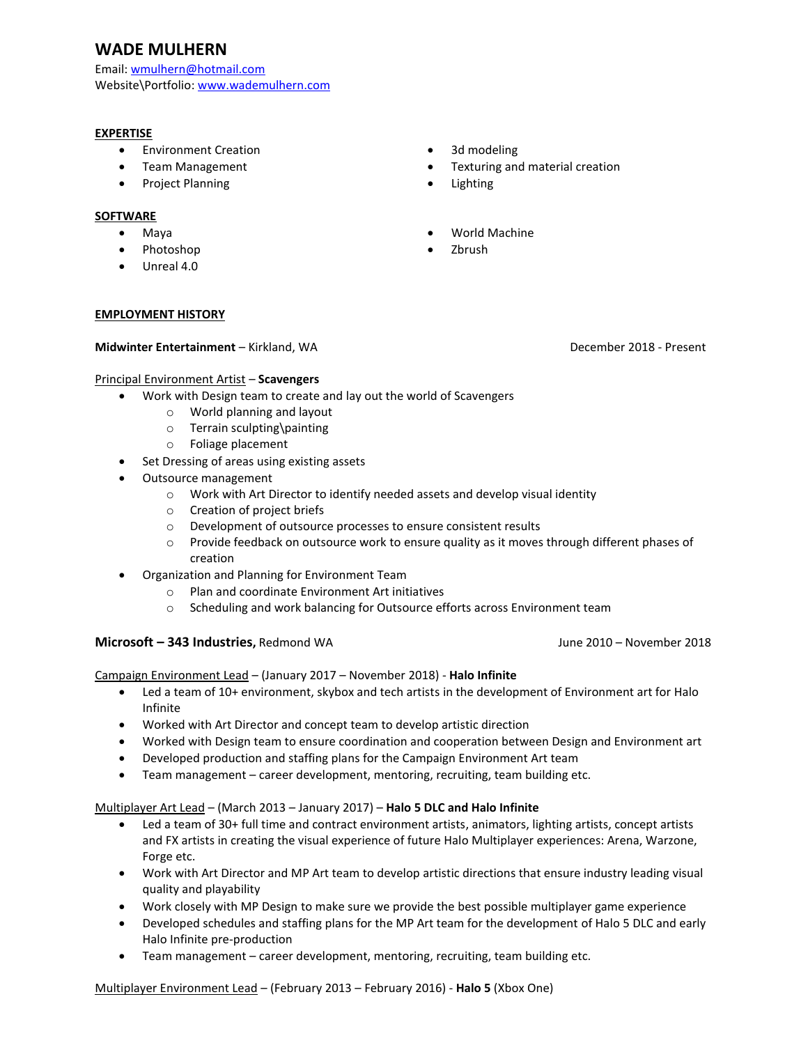# **WADE MULHERN**

Email: [wmulhern@hotmail.com](mailto:wmulhern@hotmail.com) Website\Portfolio: [www.wademulhern.com](http://www.wademulhern.com/) 

#### **EXPERTISE**

- Environment Creation
- Team Management
- Project Planning

#### **SOFTWARE**

- Maya
- Photoshop
- Unreal 4.0

#### **EMPLOYMENT HISTORY**

#### **Midwinter Entertainment** – Kirkland, WA December 2018 - Present

#### Principal Environment Artist – **Scavengers**

- Work with Design team to create and lay out the world of Scavengers
	- o World planning and layout
	- o Terrain sculpting\painting
	- o Foliage placement
- Set Dressing of areas using existing assets
- Outsource management
	- o Work with Art Director to identify needed assets and develop visual identity
	- o Creation of project briefs
	- o Development of outsource processes to ensure consistent results
	- o Provide feedback on outsource work to ensure quality as it moves through different phases of creation

• 3d modeling

• Lighting

• Zbrush

• World Machine

• Texturing and material creation

- Organization and Planning for Environment Team
	- o Plan and coordinate Environment Art initiatives
	- o Scheduling and work balancing for Outsource efforts across Environment team

#### **Microsoft – 343 Industries, Redmond WA** *June 2010 – November 2018*

Campaign Environment Lead – (January 2017 – November 2018) - **Halo Infinite**

- Led a team of 10+ environment, skybox and tech artists in the development of Environment art for Halo Infinite
- Worked with Art Director and concept team to develop artistic direction
- Worked with Design team to ensure coordination and cooperation between Design and Environment art
- Developed production and staffing plans for the Campaign Environment Art team
- Team management career development, mentoring, recruiting, team building etc.

#### Multiplayer Art Lead – (March 2013 – January 2017) – **Halo 5 DLC and Halo Infinite**

- Led a team of 30+ full time and contract environment artists, animators, lighting artists, concept artists and FX artists in creating the visual experience of future Halo Multiplayer experiences: Arena, Warzone, Forge etc.
- Work with Art Director and MP Art team to develop artistic directions that ensure industry leading visual quality and playability
- Work closely with MP Design to make sure we provide the best possible multiplayer game experience
- Developed schedules and staffing plans for the MP Art team for the development of Halo 5 DLC and early Halo Infinite pre-production
- Team management career development, mentoring, recruiting, team building etc.

Multiplayer Environment Lead – (February 2013 – February 2016) - **Halo 5** (Xbox One)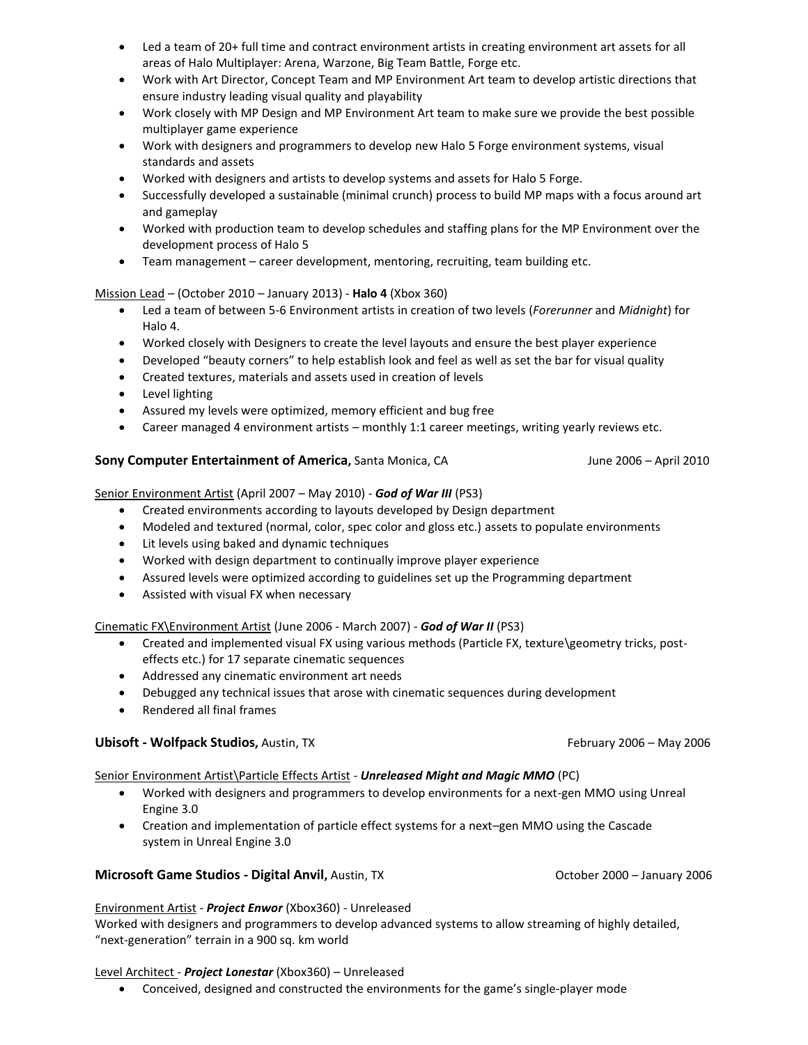- Led a team of 20+ full time and contract environment artists in creating environment art assets for all areas of Halo Multiplayer: Arena, Warzone, Big Team Battle, Forge etc.
- Work with Art Director, Concept Team and MP Environment Art team to develop artistic directions that ensure industry leading visual quality and playability
- Work closely with MP Design and MP Environment Art team to make sure we provide the best possible multiplayer game experience
- Work with designers and programmers to develop new Halo 5 Forge environment systems, visual standards and assets
- Worked with designers and artists to develop systems and assets for Halo 5 Forge.
- Successfully developed a sustainable (minimal crunch) process to build MP maps with a focus around art and gameplay
- Worked with production team to develop schedules and staffing plans for the MP Environment over the development process of Halo 5
- Team management career development, mentoring, recruiting, team building etc.

#### Mission Lead – (October 2010 – January 2013) - **Halo 4** (Xbox 360)

- Led a team of between 5-6 Environment artists in creation of two levels (*Forerunner* and *Midnight*) for Halo 4.
- Worked closely with Designers to create the level layouts and ensure the best player experience
- Developed "beauty corners" to help establish look and feel as well as set the bar for visual quality
- Created textures, materials and assets used in creation of levels
- Level lighting
- Assured my levels were optimized, memory efficient and bug free
- Career managed 4 environment artists monthly 1:1 career meetings, writing yearly reviews etc.

#### **Sony Computer Entertainment of America, Santa Monica, CA June 2006 – April 2010**

Senior Environment Artist (April 2007 – May 2010) - *God of War III* (PS3)

- Created environments according to layouts developed by Design department
- Modeled and textured (normal, color, spec color and gloss etc.) assets to populate environments
- Lit levels using baked and dynamic techniques
- Worked with design department to continually improve player experience
- Assured levels were optimized according to guidelines set up the Programming department
- Assisted with visual FX when necessary

#### Cinematic FX\Environment Artist (June 2006 - March 2007) - *God of War II* (PS3)

- Created and implemented visual FX using various methods (Particle FX, texture\geometry tricks, posteffects etc.) for 17 separate cinematic sequences
- Addressed any cinematic environment art needs
- Debugged any technical issues that arose with cinematic sequences during development
- Rendered all final frames

### **Ubisoft - Wolfpack Studios,** Austin, TX **February 2006 – May 2006** - May 2006

#### Senior Environment Artist\Particle Effects Artist - *Unreleased Might and Magic MMO* (PC)

- Worked with designers and programmers to develop environments for a next-gen MMO using Unreal Engine 3.0
- Creation and implementation of particle effect systems for a next–gen MMO using the Cascade system in Unreal Engine 3.0

## **Microsoft Game Studios - Digital Anvil, Austin, TX <b>Camber 2000 - January 2006** - January 2006

#### Environment Artist - *Project Enwor* (Xbox360) - Unreleased

Worked with designers and programmers to develop advanced systems to allow streaming of highly detailed, "next-generation" terrain in a 900 sq. km world

#### Level Architect - *Project Lonestar* (Xbox360) – Unreleased

• Conceived, designed and constructed the environments for the game's single-player mode